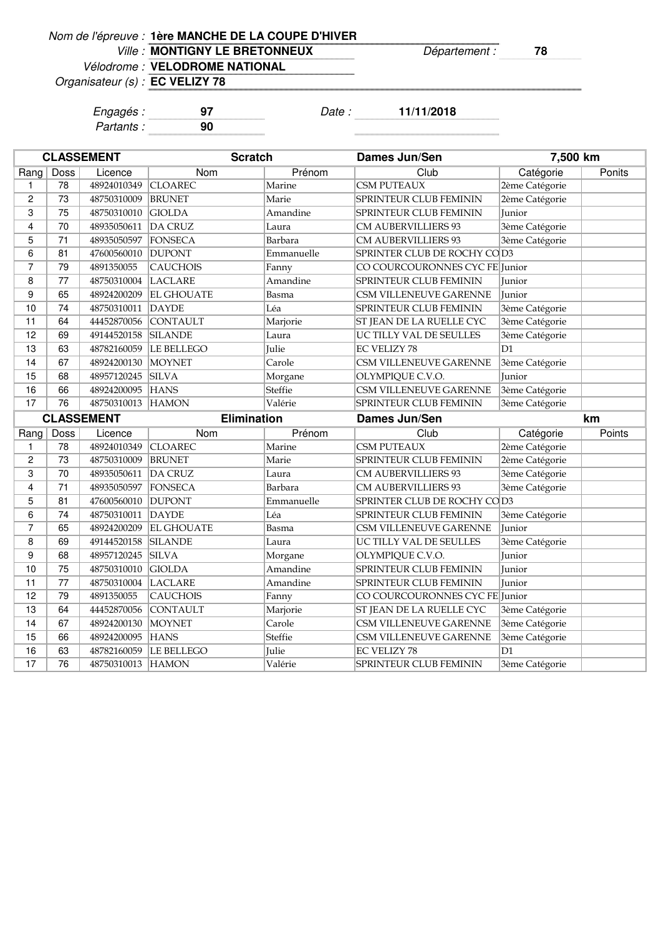| Nom de l'épreuve : 1ère MANCHE DE LA COUPE D'HIVER |  |  |  |
|----------------------------------------------------|--|--|--|
|----------------------------------------------------|--|--|--|

Ville : **MONTIGNY LE BRETONNEUX** Département : 78

Organisateur (s) :

Vélodrome : **VELODROME NATIONAL**

**EC VELIZY 78**

Engagés : **97** Date : **11/11/2018** Partants : **90**

|                |          | <b>CLASSEMENT</b> | <b>Scratch</b>     |            | Dames Jun/Sen                  | 7,500 km       |        |
|----------------|----------|-------------------|--------------------|------------|--------------------------------|----------------|--------|
| Rang           | Doss     | Licence           | Nom                | Prénom     | Club                           | Catégorie      | Ponits |
| 1              | 78       | 48924010349       | <b>CLOAREC</b>     | Marine     | <b>CSM PUTEAUX</b>             | 2ème Catégorie |        |
| 2              | 73       | 48750310009       | <b>BRUNET</b>      | Marie      | <b>SPRINTEUR CLUB FEMININ</b>  | 2ème Catégorie |        |
| 3              | 75       | 48750310010       | <b>GIOLDA</b>      | Amandine   | SPRINTEUR CLUB FEMININ         | Junior         |        |
| 4              | 70       | 48935050611       | DA CRUZ            | Laura      | CM AUBERVILLIERS 93            | 3ème Catégorie |        |
| 5              | 71       | 48935050597       | FONSECA            | Barbara    | CM AUBERVILLIERS 93            | 3ème Catégorie |        |
| 6              | 81       | 47600560010       | <b>DUPONT</b>      | Emmanuelle | SPRINTER CLUB DE ROCHY COD3    |                |        |
| $\overline{7}$ | 79       | 4891350055        | <b>CAUCHOIS</b>    | Fanny      | CO COURCOURONNES CYC FE Junior |                |        |
| 8              | 77       | 48750310004       | LACLARE            | Amandine   | SPRINTEUR CLUB FEMININ         | Junior         |        |
| 9              | 65       | 48924200209       | <b>EL GHOUATE</b>  | Basma      | CSM VILLENEUVE GARENNE         | Junior         |        |
| 10             | 74       | 48750310011       | DAYDE              | Léa        | <b>SPRINTEUR CLUB FEMININ</b>  | 3ème Catégorie |        |
| 11             | 64       | 44452870056       | <b>CONTAULT</b>    | Marjorie   | ST JEAN DE LA RUELLE CYC       | 3ème Catégorie |        |
| 12             | 69       | 49144520158       | <b>SILANDE</b>     | Laura      | UC TILLY VAL DE SEULLES        | 3ème Catégorie |        |
| 13             | 63       | 48782160059       | <b>LE BELLEGO</b>  | Julie      | EC VELIZY 78                   | D1             |        |
| 14             | 67       | 48924200130       | MOYNET             | Carole     | CSM VILLENEUVE GARENNE         | 3ème Catégorie |        |
| 15             | 68       | 48957120245       | <b>SILVA</b>       | Morgane    | OLYMPIQUE C.V.O.               | <b>Iunior</b>  |        |
| 16             | 66       | 48924200095       | <b>HANS</b>        | Steffie    | CSM VILLENEUVE GARENNE         | 3ème Catégorie |        |
| 17             | 76       | 48750310013 HAMON |                    | Valérie    | <b>SPRINTEUR CLUB FEMININ</b>  | 3ème Catégorie |        |
|                |          |                   |                    |            |                                |                |        |
|                |          | <b>CLASSEMENT</b> | <b>Elimination</b> |            | Dames Jun/Sen                  |                | km     |
| Rang           | Doss     | Licence           | Nom                | Prénom     | Club                           | Catégorie      | Points |
| 1              | 78       | 48924010349       | <b>CLOAREC</b>     | Marine     | <b>CSM PUTEAUX</b>             | 2ème Catégorie |        |
| $\overline{c}$ | 73       | 48750310009       | <b>BRUNET</b>      | Marie      | <b>SPRINTEUR CLUB FEMININ</b>  | 2ème Catégorie |        |
| 3              | 70       | 48935050611       | DA CRUZ            | Laura      | CM AUBERVILLIERS 93            | 3ème Catégorie |        |
| 4              | 71       | 48935050597       | FONSECA            | Barbara    | <b>CM AUBERVILLIERS 93</b>     | 3ème Catégorie |        |
| 5              | 81       | 47600560010       | <b>DUPONT</b>      | Emmanuelle | SPRINTER CLUB DE ROCHY COD3    |                |        |
| 6              | 74       | 48750310011       | DAYDE              | Léa        | <b>SPRINTEUR CLUB FEMININ</b>  | 3ème Catégorie |        |
| $\overline{7}$ | 65       | 48924200209       | <b>EL GHOUATE</b>  | Basma      | CSM VILLENEUVE GARENNE         | Junior         |        |
| 8              | 69       | 49144520158       | <b>SILANDE</b>     | Laura      | UC TILLY VAL DE SEULLES        | 3ème Catégorie |        |
| 9              | 68       | 48957120245       | <b>SILVA</b>       | Morgane    | OLYMPIQUE C.V.O.               | Junior         |        |
| 10             | 75       | 48750310010       | <b>GIOLDA</b>      | Amandine   | <b>SPRINTEUR CLUB FEMININ</b>  | Junior         |        |
| 11             | 77       | 48750310004       | LACLARE            | Amandine   | <b>SPRINTEUR CLUB FEMININ</b>  | Junior         |        |
| 12             | 79       | 4891350055        | <b>CAUCHOIS</b>    | Fanny      | CO COURCOURONNES CYC FE Junior |                |        |
| 13             | 64       | 44452870056       | <b>CONTAULT</b>    | Marjorie   | ST JEAN DE LA RUELLE CYC       | 3ème Catégorie |        |
| 14             | 67       | 48924200130       | <b>MOYNET</b>      | Carole     | CSM VILLENEUVE GARENNE         | 3ème Catégorie |        |
| 15             | 66       | 48924200095       | <b>HANS</b>        | Steffie    | <b>CSM VILLENEUVE GARENNE</b>  | 3ème Catégorie |        |
| 16             | 63<br>76 | 48782160059       | <b>LE BELLEGO</b>  | Julie      | <b>EC VELIZY 78</b>            | D1             |        |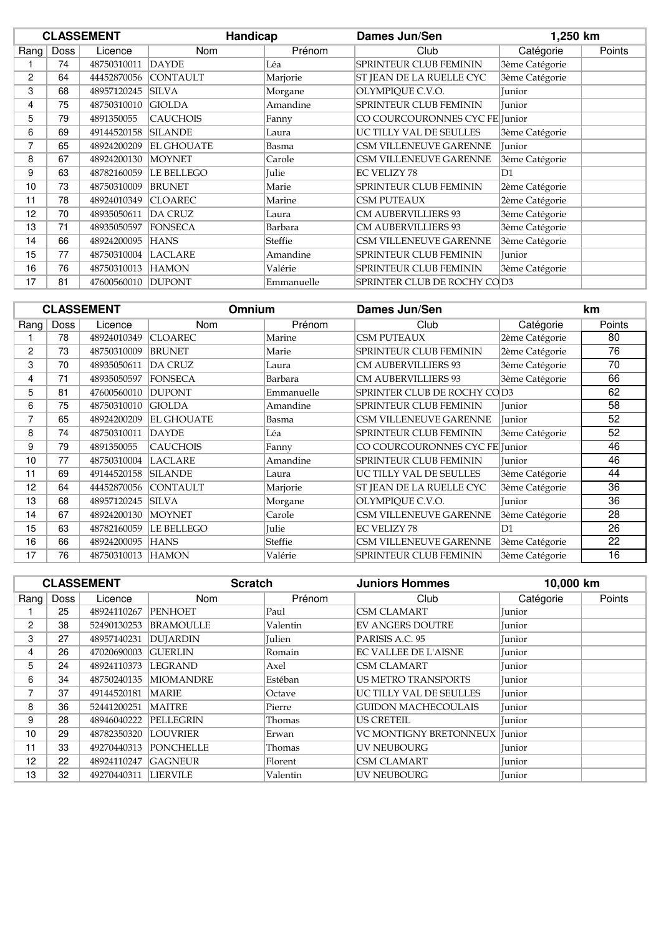|                |      | <b>CLASSEMENT</b> | Handicap          |            | Dames Jun/Sen                  |                | 1,250 km |  |
|----------------|------|-------------------|-------------------|------------|--------------------------------|----------------|----------|--|
| Rang           | Doss | Licence           | Nom               | Prénom     | Club                           | Catégorie      | Points   |  |
|                | 74   | 48750310011       | <b>DAYDE</b>      | Léa        | SPRINTEUR CLUB FEMININ         | 3ème Catégorie |          |  |
| $\overline{c}$ | 64   | 44452870056       | <b>CONTAULT</b>   | Marjorie   | ST JEAN DE LA RUELLE CYC       | 3ème Catégorie |          |  |
| 3              | 68   | 48957120245       | <b>SILVA</b>      | Morgane    | OLYMPIQUE C.V.O.               | Junior         |          |  |
| 4              | 75   | 48750310010       | <b>GIOLDA</b>     | Amandine   | SPRINTEUR CLUB FEMININ         | Junior         |          |  |
| 5              | 79   | 4891350055        | <b>CAUCHOIS</b>   | Fanny      | CO COURCOURONNES CYC FE Junior |                |          |  |
| 6              | 69   | 49144520158       | <b>SILANDE</b>    | Laura      | UC TILLY VAL DE SEULLES        | 3ème Catégorie |          |  |
| 7              | 65   | 48924200209       | <b>EL GHOUATE</b> | Basma      | CSM VILLENEUVE GARENNE         | Junior         |          |  |
| 8              | 67   | 48924200130       | <b>MOYNET</b>     | Carole     | <b>CSM VILLENEUVE GARENNE</b>  | 3ème Catégorie |          |  |
| 9              | 63   | 48782160059       | <b>LE BELLEGO</b> | Julie      | <b>EC VELIZY 78</b>            | D1             |          |  |
| 10             | 73   | 48750310009       | <b>BRUNET</b>     | Marie      | SPRINTEUR CLUB FEMININ         | 2ème Catégorie |          |  |
| 11             | 78   | 48924010349       | <b>CLOAREC</b>    | Marine     | <b>CSM PUTEAUX</b>             | 2ème Catégorie |          |  |
| 12             | 70   | 48935050611       | DA CRUZ           | Laura      | <b>CM AUBERVILLIERS 93</b>     | 3ème Catégorie |          |  |
| 13             | 71   | 48935050597       | <b>FONSECA</b>    | Barbara    | <b>CM AUBERVILLIERS 93</b>     | 3ème Catégorie |          |  |
| 14             | 66   | 48924200095       | <b>HANS</b>       | Steffie    | CSM VILLENEUVE GARENNE         | 3ème Catégorie |          |  |
| 15             | 77   | 48750310004       | LACLARE           | Amandine   | SPRINTEUR CLUB FEMININ         | Junior         |          |  |
| 16             | 76   | 48750310013       | <b>HAMON</b>      | Valérie    | <b>SPRINTEUR CLUB FEMININ</b>  | 3ème Catégorie |          |  |
| 17             | 81   | 47600560010       | <b>DUPONT</b>     | Emmanuelle | SPRINTER CLUB DE ROCHY COD3    |                |          |  |

|      |      | <b>CLASSEMENT</b> | <b>Omnium</b>     |              | Dames Jun/Sen                  |                | km     |
|------|------|-------------------|-------------------|--------------|--------------------------------|----------------|--------|
| Rang | Doss | Licence           | <b>Nom</b>        | Prénom       | Club                           | Catégorie      | Points |
|      | 78   | 48924010349       | <b>CLOAREC</b>    | Marine       | <b>CSM PUTEAUX</b>             | 2ème Catégorie | 80     |
| 2    | 73   | 48750310009       | <b>BRUNET</b>     | Marie        | <b>SPRINTEUR CLUB FEMININ</b>  | 2ème Catégorie | 76     |
| 3    | 70   | 48935050611       | <b>DA CRUZ</b>    | Laura        | <b>CM AUBERVILLIERS 93</b>     | 3ème Catégorie | 70     |
| 4    | 71   | 48935050597       | <b>FONSECA</b>    | Barbara      | <b>CM AUBERVILLIERS 93</b>     | 3ème Catégorie | 66     |
| 5    | 81   | 47600560010       | <b>DUPONT</b>     | Emmanuelle   | SPRINTER CLUB DE ROCHY COD3    |                | 62     |
| 6    | 75   | 48750310010       | <b>GIOLDA</b>     | Amandine     | <b>SPRINTEUR CLUB FEMININ</b>  | Junior         | 58     |
| 7    | 65   | 48924200209       | <b>EL GHOUATE</b> | Basma        | CSM VILLENEUVE GARENNE         | Junior         | 52     |
| 8    | 74   | 48750310011       | <b>DAYDE</b>      | Léa          | <b>SPRINTEUR CLUB FEMININ</b>  | 3ème Catégorie | 52     |
| 9    | 79   | 4891350055        | <b>CAUCHOIS</b>   | Fanny        | CO COURCOURONNES CYC FE Junior |                | 46     |
| 10   | 77   | 48750310004       | <b>LACLARE</b>    | Amandine     | <b>SPRINTEUR CLUB FEMININ</b>  | Junior         | 46     |
| 11   | 69   | 49144520158       | <b>SILANDE</b>    | Laura        | UC TILLY VAL DE SEULLES        | 3ème Catégorie | 44     |
| 12   | 64   | 44452870056       | <b>CONTAULT</b>   | Marjorie     | ST JEAN DE LA RUELLE CYC       | 3ème Catégorie | 36     |
| 13   | 68   | 48957120245       | <b>SILVA</b>      | Morgane      | OLYMPIQUE C.V.O.               | Junior         | 36     |
| 14   | 67   | 48924200130       | <b>MOYNET</b>     | Carole       | CSM VILLENEUVE GARENNE         | 3ème Catégorie | 28     |
| 15   | 63   | 48782160059       | <b>LE BELLEGO</b> | <b>Julie</b> | <b>EC VELIZY 78</b>            | D1             | 26     |
| 16   | 66   | 48924200095       | <b>HANS</b>       | Steffie      | CSM VILLENEUVE GARENNE         | 3ème Catégorie | 22     |
| 17   | 76   | 48750310013       | <b>HAMON</b>      | Valérie      | <b>SPRINTEUR CLUB FEMININ</b>  | 3ème Catégorie | 16     |

|                       |      | <b>CLASSEMENT</b> | <b>Scratch</b>          |               | <b>Juniors Hommes</b>           | 10,000 km |        |
|-----------------------|------|-------------------|-------------------------|---------------|---------------------------------|-----------|--------|
| Rang                  | Doss | Licence           | Nom                     | Prénom        | Club                            | Catégorie | Points |
|                       | 25   | 48924110267       | <b>PENHOET</b>          | Paul          | <b>CSM CLAMART</b>              | Junior    |        |
| $\mathbf{2}^{\prime}$ | 38   | 52490130253       | <b>BRAMOULLE</b>        | Valentin      | <b>EV ANGERS DOUTRE</b>         | Junior    |        |
| 3                     | 27   | 48957140231       | <b>DUJARDIN</b>         | <b>Julien</b> | PARISIS A.C. 95                 | Junior    |        |
| 4                     | 26   | 47020690003       | <b>GUERLIN</b>          | Romain        | <b>EC VALLEE DE L'AISNE</b>     | Junior    |        |
| 5                     | 24   | 48924110373       | <b>LEGRAND</b>          | Axel          | <b>CSM CLAMART</b>              | Junior    |        |
| 6                     | 34   |                   | 48750240135   MIOMANDRE | Estéban       | <b>US METRO TRANSPORTS</b>      | Junior    |        |
| 7                     | 37   | 49144520181       | <b>MARIE</b>            | Octave        | UC TILLY VAL DE SEULLES         | Junior    |        |
| 8                     | 36   | 52441200251       | <b>MAITRE</b>           | Pierre        | <b>GUIDON MACHECOULAIS</b>      | Junior    |        |
| 9                     | 28   | 48946040222       | <b>PELLEGRIN</b>        | Thomas        | <b>US CRETEIL</b>               | Junior    |        |
| 10                    | 29   | 48782350320       | <b>LOUVRIER</b>         | Erwan         | VC MONTIGNY BRETONNEUX   Junior |           |        |
| 11                    | 33   | 49270440313       | <b>PONCHELLE</b>        | Thomas        | <b>UV NEUBOURG</b>              | Junior    |        |
| 12                    | 22   | 48924110247       | <b>GAGNEUR</b>          | Florent       | <b>CSM CLAMART</b>              | Junior    |        |
| 13                    | 32   | 49270440311       | <b>LIERVILE</b>         | Valentin      | <b>UV NEUBOURG</b>              | Junior    |        |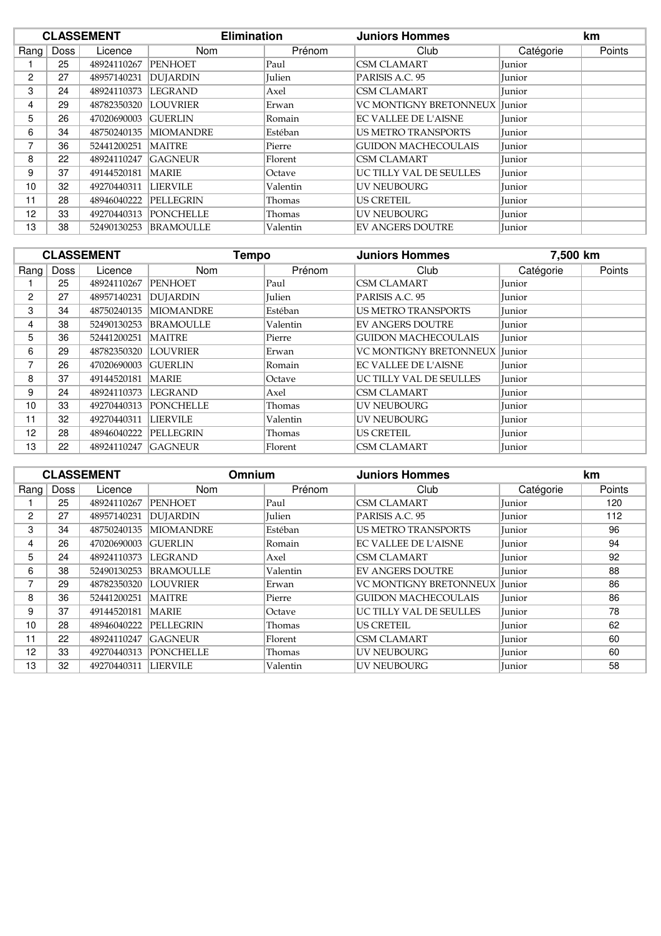|      |      | <b>CLASSEMENT</b> | <b>Elimination</b> |               | <b>Juniors Hommes</b>                |           | km     |  |
|------|------|-------------------|--------------------|---------------|--------------------------------------|-----------|--------|--|
| Rang | Doss | Licence           | Nom                | Prénom        | Club                                 | Catégorie | Points |  |
|      | 25   | 48924110267       | PENHOET            | Paul          | <b>CSM CLAMART</b>                   | Junior    |        |  |
| 2    | 27   | 48957140231       | <b>DUJARDIN</b>    | <b>Julien</b> | PARISIS A.C. 95                      | Junior    |        |  |
| 3    | 24   | 48924110373       | LEGRAND            | Axel          | <b>CSM CLAMART</b>                   | Junior    |        |  |
| 4    | 29   | 48782350320       | <b>LOUVRIER</b>    | Erwan         | <b>VC MONTIGNY BRETONNEUX Junior</b> |           |        |  |
| 5    | 26   | 47020690003       | <b>GUERLIN</b>     | Romain        | <b>EC VALLEE DE L'AISNE</b>          | Junior    |        |  |
| 6    | 34   | 48750240135       | <b>MIOMANDRE</b>   | Estéban       | <b>US METRO TRANSPORTS</b>           | Junior    |        |  |
| 7    | 36   | 52441200251       | MAITRE             | Pierre        | <b>GUIDON MACHECOULAIS</b>           | Junior    |        |  |
| 8    | 22   | 48924110247       | <b>GAGNEUR</b>     | Florent       | <b>CSM CLAMART</b>                   | Junior    |        |  |
| 9    | 37   | 49144520181       | MARIE              | Octave        | UC TILLY VAL DE SEULLES              | Junior    |        |  |
| 10   | 32   | 49270440311       | <b>LIERVILE</b>    | Valentin      | <b>UV NEUBOURG</b>                   | Junior    |        |  |
| 11   | 28   | 48946040222       | <b>PELLEGRIN</b>   | Thomas        | <b>US CRETEIL</b>                    | Junior    |        |  |
| 12   | 33   | 49270440313       | <b>PONCHELLE</b>   | Thomas        | <b>UV NEUBOURG</b>                   | Junior    |        |  |
| 13   | 38   | 52490130253       | <b>BRAMOULLE</b>   | Valentin      | <b>EV ANGERS DOUTRE</b>              | Junior    |        |  |

|                | <b>CLASSEMENT</b> |             | Tempo            |               | 7,500 km<br><b>Juniors Hommes</b> |           |        |
|----------------|-------------------|-------------|------------------|---------------|-----------------------------------|-----------|--------|
| Rang           | <b>Doss</b>       | Licence     | <b>Nom</b>       | Prénom        | Club                              | Catégorie | Points |
|                | 25                | 48924110267 | <b>PENHOET</b>   | Paul          | <b>CSM CLAMART</b>                | Junior    |        |
| $\overline{2}$ | 27                | 48957140231 | <b>DUJARDIN</b>  | <b>Iulien</b> | PARISIS A.C. 95                   | Junior    |        |
| 3              | 34                | 48750240135 | <b>MIOMANDRE</b> | Estéban       | <b>US METRO TRANSPORTS</b>        | Junior    |        |
| 4              | 38                | 52490130253 | <b>BRAMOULLE</b> | Valentin      | <b>EV ANGERS DOUTRE</b>           | Junior    |        |
| 5              | 36                | 52441200251 | <b>MAITRE</b>    | Pierre        | <b>GUIDON MACHECOULAIS</b>        | Junior    |        |
| 6              | 29                | 48782350320 | <b>LOUVRIER</b>  | Erwan         | <b>VC MONTIGNY BRETONNEUX</b>     | Junior    |        |
| 7              | 26                | 47020690003 | <b>GUERLIN</b>   | Romain        | <b>EC VALLEE DE L'AISNE</b>       | Junior    |        |
| 8              | 37                | 49144520181 | <b>MARIE</b>     | <b>Octave</b> | UC TILLY VAL DE SEULLES           | Junior    |        |
| 9              | 24                | 48924110373 | <b>LEGRAND</b>   | Axel          | <b>CSM CLAMART</b>                | Junior    |        |
| 10             | 33                | 49270440313 | <b>PONCHELLE</b> | Thomas        | <b>UV NEUBOURG</b>                | Junior    |        |
| 11             | 32                | 49270440311 | <b>LIERVILE</b>  | Valentin      | <b>UV NEUBOURG</b>                | Junior    |        |
| 12             | 28                | 48946040222 | PELLEGRIN        | Thomas        | <b>US CRETEIL</b>                 | Junior    |        |
| 13             | 22                | 48924110247 | <b>GAGNEUR</b>   | Florent       | <b>CSM CLAMART</b>                | Junior    |        |

|                | <b>CLASSEMENT</b> |             |                  | <b>Juniors Hommes</b><br>Omnium |                                       | km            |        |
|----------------|-------------------|-------------|------------------|---------------------------------|---------------------------------------|---------------|--------|
| Rang           | Doss              | Licence     | <b>Nom</b>       | Prénom                          | Club                                  | Catégorie     | Points |
|                | 25                | 48924110267 | <b>PENHOET</b>   | Paul                            | <b>CSM CLAMART</b>                    | Junior        | 120    |
| $\overline{2}$ | 27                | 48957140231 | <b>DUJARDIN</b>  | <b>Julien</b>                   | PARISIS A.C. 95                       | <b>Iunior</b> | 112    |
| 3              | 34                | 48750240135 | <b>MIOMANDRE</b> | Estéban                         | <b>US METRO TRANSPORTS</b>            | Junior        | 96     |
| 4              | 26                | 47020690003 | <b>GUERLIN</b>   | Romain                          | EC VALLEE DE L'AISNE                  | <b>Iunior</b> | 94     |
| 5              | 24                | 48924110373 | LEGRAND          | Axel                            | <b>CSM CLAMART</b>                    | Junior        | 92     |
| 6              | 38                | 52490130253 | <b>BRAMOULLE</b> | Valentin                        | <b>EV ANGERS DOUTRE</b>               | Junior        | 88     |
| 7              | 29                | 48782350320 | <b>LOUVRIER</b>  | Erwan                           | <b>VC MONTIGNY BRETONNEUX lIunior</b> |               | 86     |
| 8              | 36                | 52441200251 | <b>MAITRE</b>    | Pierre                          | <b>GUIDON MACHECOULAIS</b>            | Junior        | 86     |
| 9              | 37                | 49144520181 | <b>MARIE</b>     | Octave                          | UC TILLY VAL DE SEULLES               | Junior        | 78     |
| 10             | 28                | 48946040222 | <b>PELLEGRIN</b> | Thomas                          | US CRETEIL                            | Junior        | 62     |
| 11             | 22                | 48924110247 | <b>GAGNEUR</b>   | Florent                         | <b>CSM CLAMART</b>                    | Junior        | 60     |
| 12             | 33                | 49270440313 | <b>PONCHELLE</b> | Thomas                          | <b>UV NEUBOURG</b>                    | Junior        | 60     |
| 13             | 32                | 49270440311 | <b>LIERVILE</b>  | Valentin                        | <b>UV NEUBOURG</b>                    | Junior        | 58     |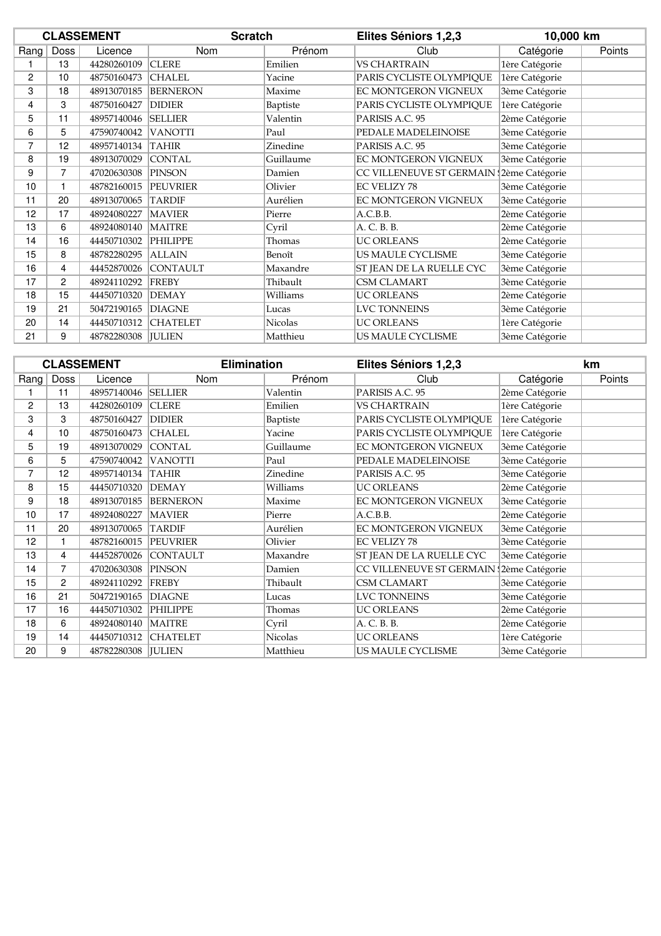|      |      | <b>CLASSEMENT</b>    | <b>Scratch</b>  |           | Elites Séniors 1,2,3                     |                | 10,000 km |  |
|------|------|----------------------|-----------------|-----------|------------------------------------------|----------------|-----------|--|
| Rang | Doss | Licence              | Nom             | Prénom    | Club                                     | Catégorie      | Points    |  |
|      | 13   | 44280260109          | <b>CLERE</b>    | Emilien   | <b>VS CHARTRAIN</b>                      | 1ère Catégorie |           |  |
| 2    | 10   | 48750160473          | <b>CHALEL</b>   | Yacine    | PARIS CYCLISTE OLYMPIQUE                 | 1ère Catégorie |           |  |
| 3    | 18   | 48913070185          | <b>BERNERON</b> | Maxime    | EC MONTGERON VIGNEUX                     | 3ème Catégorie |           |  |
| 4    | 3    | 48750160427          | <b>DIDIER</b>   | Baptiste  | PARIS CYCLISTE OLYMPIQUE                 | 1ère Catégorie |           |  |
| 5    | 11   | 48957140046 SELLIER  |                 | Valentin  | PARISIS A.C. 95                          | 2ème Catégorie |           |  |
| 6    | 5    | 47590740042          | <b>VANOTTI</b>  | Paul      | PEDALE MADELEINOISE                      | 3ème Catégorie |           |  |
| 7    | 12   | 48957140134          | <b>TAHIR</b>    | Zinedine  | PARISIS A.C. 95                          | 3ème Catégorie |           |  |
| 8    | 19   | 48913070029          | <b>CONTAL</b>   | Guillaume | EC MONTGERON VIGNEUX                     | 3ème Catégorie |           |  |
| 9    | 7    | 47020630308 PINSON   |                 | Damien    | CC VILLENEUVE ST GERMAIN (2ème Catégorie |                |           |  |
| 10   |      | 48782160015 PEUVRIER |                 | Olivier   | <b>EC VELIZY 78</b>                      | 3ème Catégorie |           |  |
| 11   | 20   | 48913070065          | <b>TARDIF</b>   | Aurélien  | EC MONTGERON VIGNEUX                     | 3ème Catégorie |           |  |
| 12   | 17   | 48924080227          | <b>MAVIER</b>   | Pierre    | A.C.B.B.                                 | 2ème Catégorie |           |  |
| 13   | 6    | 48924080140          | <b>MAITRE</b>   | Cyril     | A. C. B. B.                              | 2ème Catégorie |           |  |
| 14   | 16   | 44450710302          | <b>PHILIPPE</b> | Thomas    | <b>UC ORLEANS</b>                        | 2ème Catégorie |           |  |
| 15   | 8    | 48782280295          | <b>ALLAIN</b>   | Benoît    | US MAULE CYCLISME                        | 3ème Catégorie |           |  |
| 16   | 4    | 44452870026          | <b>CONTAULT</b> | Maxandre  | ST JEAN DE LA RUELLE CYC                 | 3ème Catégorie |           |  |
| 17   | 2    | 48924110292 FREBY    |                 | Thibault  | CSM CLAMART                              | 3ème Catégorie |           |  |
| 18   | 15   | 44450710320          | <b>DEMAY</b>    | Williams  | <b>UC ORLEANS</b>                        | 2ème Catégorie |           |  |
| 19   | 21   | 50472190165          | <b>DIAGNE</b>   | Lucas     | <b>LVC TONNEINS</b>                      | 3ème Catégorie |           |  |
| 20   | 14   | 44450710312          | <b>CHATELET</b> | Nicolas   | <b>UC ORLEANS</b>                        | 1ère Catégorie |           |  |
| 21   | 9    | 48782280308 JULIEN   |                 | Matthieu  | US MAULE CYCLISME                        | 3ème Catégorie |           |  |

|                |      | <b>CLASSEMENT</b>    | <b>Elimination</b>   |           | Elites Séniors 1,2,3                     |                | km     |
|----------------|------|----------------------|----------------------|-----------|------------------------------------------|----------------|--------|
| Rang           | Doss | Licence              | <b>Nom</b>           | Prénom    | Club                                     | Catégorie      | Points |
|                | 11   | 48957140046 SELLIER  |                      | Valentin  | PARISIS A.C. 95                          | 2ème Catégorie |        |
| 2              | 13   | 44280260109          | <b>CLERE</b>         | Emilien   | <b>VS CHARTRAIN</b>                      | 1ère Catégorie |        |
| 3              | 3    | 48750160427          | <b>DIDIER</b>        | Baptiste  | PARIS CYCLISTE OLYMPIQUE                 | 1ère Catégorie |        |
| 4              | 10   | 48750160473          | <b>CHALEL</b>        | Yacine    | PARIS CYCLISTE OLYMPIQUE                 | 1ère Catégorie |        |
| 5              | 19   | 48913070029          | <b>CONTAL</b>        | Guillaume | EC MONTGERON VIGNEUX                     | 3ème Catégorie |        |
| 6              | 5    | 47590740042          | <b>VANOTTI</b>       | Paul      | PEDALE MADELEINOISE                      | 3ème Catégorie |        |
| $\overline{7}$ | 12   | 48957140134          | <b>TAHIR</b>         | Zinedine  | PARISIS A.C. 95                          | 3ème Catégorie |        |
| 8              | 15   | 44450710320          | <b>DEMAY</b>         | Williams  | <b>UC ORLEANS</b>                        | 2ème Catégorie |        |
| 9              | 18   | 48913070185 BERNERON |                      | Maxime    | EC MONTGERON VIGNEUX                     | 3ème Catégorie |        |
| 10             | 17   | 48924080227          | <b>MAVIER</b>        | Pierre    | A.C.B.B.                                 | 2ème Catégorie |        |
| 11             | 20   | 48913070065          | <b>TARDIF</b>        | Aurélien  | EC MONTGERON VIGNEUX                     | 3ème Catégorie |        |
| 12             |      | 48782160015 PEUVRIER |                      | Olivier   | <b>EC VELIZY 78</b>                      | 3ème Catégorie |        |
| 13             | 4    |                      | 44452870026 CONTAULT | Maxandre  | ST JEAN DE LA RUELLE CYC                 | 3ème Catégorie |        |
| 14             | 7    | 47020630308          | <b>PINSON</b>        | Damien    | CC VILLENEUVE ST GERMAIN (2ème Catégorie |                |        |
| 15             | 2    | 48924110292          | FREBY                | Thibault  | <b>CSM CLAMART</b>                       | 3ème Catégorie |        |
| 16             | 21   | 50472190165          | <b>DIAGNE</b>        | Lucas     | <b>LVC TONNEINS</b>                      | 3ème Catégorie |        |
| 17             | 16   | 44450710302          | PHILIPPE             | Thomas    | <b>UC ORLEANS</b>                        | 2ème Catégorie |        |
| 18             | 6    | 48924080140          | <b>MAITRE</b>        | Cyril     | A. C. B. B.                              | 2ème Catégorie |        |
| 19             | 14   | 44450710312          | <b>CHATELET</b>      | Nicolas   | <b>UC ORLEANS</b>                        | 1ère Catégorie |        |
| 20             | 9    | 48782280308   JULIEN |                      | Matthieu  | US MAULE CYCLISME                        | 3ème Catégorie |        |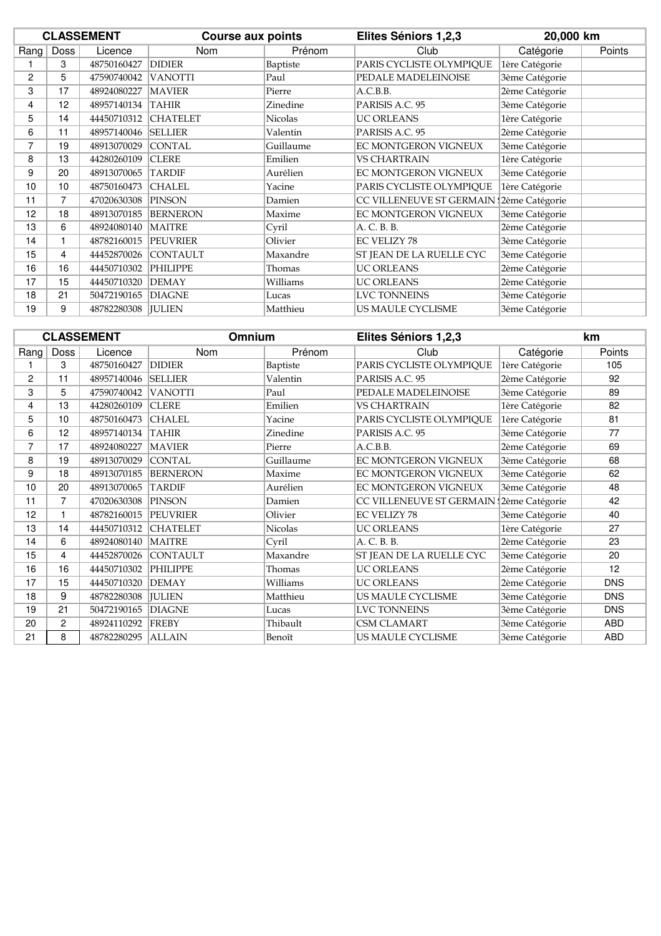|      |      | <b>CLASSEMENT</b>    | <b>Course aux points</b> |                | Elites Séniors 1,2,3                     | 20,000 km      |        |
|------|------|----------------------|--------------------------|----------------|------------------------------------------|----------------|--------|
| Rang | Doss | Licence              | <b>Nom</b>               | Prénom         | Club                                     | Catégorie      | Points |
|      | 3    | 48750160427          | <b>DIDIER</b>            | Baptiste       | PARIS CYCLISTE OLYMPIQUE                 | 1ère Catégorie |        |
| 2    | 5    | 47590740042          | <b>VANOTTI</b>           | Paul           | PEDALE MADELEINOISE                      | 3ème Catégorie |        |
| 3    | 17   | 48924080227          | <b>MAVIER</b>            | Pierre         | A.C.B.B.                                 | 2ème Catégorie |        |
| 4    | 12   | 48957140134          | <b>TAHIR</b>             | Zinedine       | PARISIS A.C. 95                          | 3ème Catégorie |        |
| 5    | 14   | 44450710312          | <b>CHATELET</b>          | <b>Nicolas</b> | <b>UC ORLEANS</b>                        | 1ère Catégorie |        |
| 6    | 11   | 48957140046          | <b>SELLIER</b>           | Valentin       | PARISIS A.C. 95                          | 2ème Catégorie |        |
| 7    | 19   | 48913070029          | <b>CONTAL</b>            | Guillaume      | EC MONTGERON VIGNEUX                     | 3ème Catégorie |        |
| 8    | 13   | 44280260109          | <b>CLERE</b>             | Emilien        | VS CHARTRAIN                             | 1ère Catégorie |        |
| 9    | 20   | 48913070065          | <b>TARDIF</b>            | Aurélien       | EC MONTGERON VIGNEUX                     | 3ème Catégorie |        |
| 10   | 10   | 48750160473          | <b>CHALEL</b>            | Yacine         | PARIS CYCLISTE OLYMPIQUE                 | 1ère Catégorie |        |
| 11   | 7    | 47020630308          | <b>PINSON</b>            | Damien         | CC VILLENEUVE ST GERMAIN (2ème Catégorie |                |        |
| 12   | 18   | 48913070185          | <b>BERNERON</b>          | Maxime         | EC MONTGERON VIGNEUX                     | 3ème Catégorie |        |
| 13   | 6    | 48924080140          | <b>MAITRE</b>            | Cyril          | A. C. B. B.                              | 2ème Catégorie |        |
| 14   |      | 48782160015          | <b>PEUVRIER</b>          | Olivier        | <b>EC VELIZY 78</b>                      | 3ème Catégorie |        |
| 15   | 4    | 44452870026          | <b>CONTAULT</b>          | Maxandre       | ST JEAN DE LA RUELLE CYC                 | 3ème Catégorie |        |
| 16   | 16   | 44450710302          | <b>PHILIPPE</b>          | Thomas         | <b>UC ORLEANS</b>                        | 2ème Catégorie |        |
| 17   | 15   | 44450710320          | <b>DEMAY</b>             | Williams       | UC ORLEANS                               | 2ème Catégorie |        |
| 18   | 21   | 50472190165          | <b>DIAGNE</b>            | Lucas          | <b>LVC TONNEINS</b>                      | 3ème Catégorie |        |
| 19   | 9    | 48782280308   JULIEN |                          | Matthieu       | US MAULE CYCLISME                        | 3ème Catégorie |        |

|      |                | <b>CLASSEMENT</b> | Omnium          |                | Elites Séniors 1,2,3                     |                | km         |  |
|------|----------------|-------------------|-----------------|----------------|------------------------------------------|----------------|------------|--|
| Rang | Doss           | Licence           | Nom             | Prénom         | Club                                     | Catégorie      | Points     |  |
|      | 3              | 48750160427       | <b>DIDIER</b>   | Baptiste       | PARIS CYCLISTE OLYMPIQUE                 | 1ère Catégorie | 105        |  |
| 2    | 11             | 48957140046       | <b>SELLIER</b>  | Valentin       | PARISIS A.C. 95                          | 2ème Catégorie | 92         |  |
| 3    | 5              | 47590740042       | <b>VANOTTI</b>  | Paul           | PEDALE MADELEINOISE                      | 3ème Catégorie | 89         |  |
| 4    | 13             | 44280260109       | <b>CLERE</b>    | Emilien        | <b>VS CHARTRAIN</b>                      | 1ère Catégorie | 82         |  |
| 5    | 10             | 48750160473       | <b>CHALEL</b>   | Yacine         | PARIS CYCLISTE OLYMPIQUE                 | 1ère Catégorie | 81         |  |
| 6    | 12             | 48957140134       | TAHIR           | Zinedine       | PARISIS A.C. 95                          | 3ème Catégorie | 77         |  |
| 7    | 17             | 48924080227       | <b>MAVIER</b>   | Pierre         | A.C.B.B.                                 | 2ème Catégorie | 69         |  |
| 8    | 19             | 48913070029       | <b>CONTAL</b>   | Guillaume      | EC MONTGERON VIGNEUX                     | 3ème Catégorie | 68         |  |
| 9    | 18             | 48913070185       | <b>BERNERON</b> | Maxime         | EC MONTGERON VIGNEUX                     | 3ème Catégorie | 62         |  |
| 10   | 20             | 48913070065       | <b>TARDIF</b>   | Aurélien       | EC MONTGERON VIGNEUX                     | 3ème Catégorie | 48         |  |
| 11   | $\overline{7}$ | 47020630308       | <b>PINSON</b>   | Damien         | CC VILLENEUVE ST GERMAIN (2ème Catégorie |                | 42         |  |
| 12   |                | 48782160015       | <b>PEUVRIER</b> | Olivier        | <b>EC VELIZY 78</b>                      | 3ème Catégorie | 40         |  |
| 13   | 14             | 44450710312       | <b>CHATELET</b> | <b>Nicolas</b> | <b>UC ORLEANS</b>                        | 1ère Catégorie | 27         |  |
| 14   | 6              | 48924080140       | <b>MAITRE</b>   | Cyril          | A. C. B. B.                              | 2ème Catégorie | 23         |  |
| 15   | 4              | 44452870026       | <b>CONTAULT</b> | Maxandre       | ST JEAN DE LA RUELLE CYC                 | 3ème Catégorie | 20         |  |
| 16   | 16             | 44450710302       | <b>PHILIPPE</b> | Thomas         | <b>UC ORLEANS</b>                        | 2ème Catégorie | 12         |  |
| 17   | 15             | 44450710320       | <b>DEMAY</b>    | Williams       | <b>UC ORLEANS</b>                        | 2ème Catégorie | <b>DNS</b> |  |
| 18   | 9              | 48782280308       | <b>IULIEN</b>   | Matthieu       | US MAULE CYCLISME                        | 3ème Catégorie | <b>DNS</b> |  |
| 19   | 21             | 50472190165       | <b>DIAGNE</b>   | Lucas          | <b>LVC TONNEINS</b>                      | 3ème Catégorie | <b>DNS</b> |  |
| 20   | 2              | 48924110292       | FREBY           | Thibault       | CSM CLAMART                              | 3ème Catégorie | ABD        |  |
| 21   | 8              | 48782280295       | <b>ALLAIN</b>   | Benoît         | US MAULE CYCLISME                        | 3ème Catégorie | ABD        |  |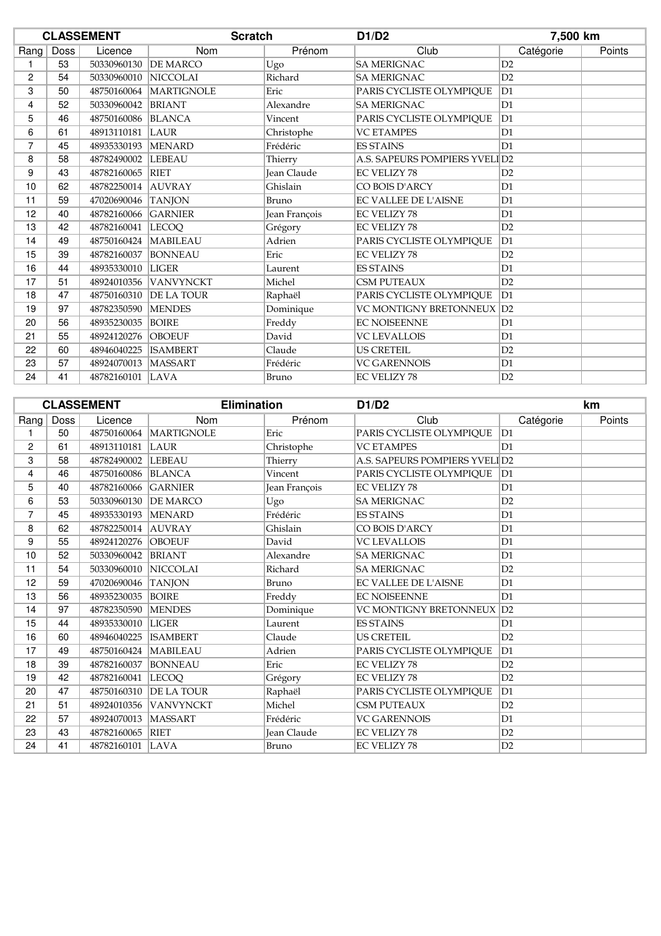|      |      | <b>CLASSEMENT</b>      | <b>Scratch</b>           |                      | D1/D2                         | 7,500 km       |        |
|------|------|------------------------|--------------------------|----------------------|-------------------------------|----------------|--------|
| Rang | Doss | Licence                | Nom                      | Prénom               | Club                          | Catégorie      | Points |
| 1    | 53   | 50330960130 DE MARCO   |                          | Ugo                  | <b>SA MERIGNAC</b>            | D2             |        |
| 2    | 54   | 50330960010 NICCOLAI   |                          | Richard              | <b>SA MERIGNAC</b>            | D2             |        |
| 3    | 50   |                        | 48750160064   MARTIGNOLE | Eric                 | PARIS CYCLISTE OLYMPIQUE      | D1             |        |
| 4    | 52   | 50330960042 BRIANT     |                          | Alexandre            | <b>SA MERIGNAC</b>            | D1             |        |
| 5    | 46   | 48750160086 BLANCA     |                          | Vincent              | PARIS CYCLISTE OLYMPIQUE      | D1             |        |
| 6    | 61   | 48913110181 LAUR       |                          | Christophe           | <b>VC ETAMPES</b>             | D1             |        |
| 7    | 45   | 48935330193   MENARD   |                          | Frédéric             | <b>ES STAINS</b>              | D1             |        |
| 8    | 58   | 48782490002 LEBEAU     |                          | Thierry              | A.S. SAPEURS POMPIERS YVELID2 |                |        |
| 9    | 43   | 48782160065 RIET       |                          | Jean Claude          | <b>EC VELIZY 78</b>           | D2             |        |
| 10   | 62   | 48782250014 AUVRAY     |                          | Ghislain             | CO BOIS D'ARCY                | D1             |        |
| 11   | 59   | 47020690046 TANJON     |                          | Bruno                | <b>EC VALLEE DE L'AISNE</b>   | D1             |        |
| 12   | 40   | 48782160066 GARNIER    |                          | <b>Jean Francois</b> | <b>EC VELIZY 78</b>           | D <sub>1</sub> |        |
| 13   | 42   | 48782160041  LECOO     |                          | Grégory              | <b>EC VELIZY 78</b>           | D2             |        |
| 14   | 49   | 48750160424   MABILEAU |                          | Adrien               | PARIS CYCLISTE OLYMPIQUE      | D1             |        |
| 15   | 39   | 48782160037 BONNEAU    |                          | Eric                 | <b>EC VELIZY 78</b>           | D2             |        |
| 16   | 44   | 48935330010   LIGER    |                          | Laurent              | <b>ES STAINS</b>              | D1             |        |
| 17   | 51   |                        | 48924010356 VANVYNCKT    | Michel               | <b>CSM PUTEAUX</b>            | D2             |        |
| 18   | 47   |                        | 48750160310   DE LA TOUR | Raphaël              | PARIS CYCLISTE OLYMPIQUE      | D1             |        |
| 19   | 97   | 48782350590 MENDES     |                          | Dominique            | VC MONTIGNY BRETONNEUX  D2    |                |        |
| 20   | 56   | 48935230035 BOIRE      |                          | Freddy               | <b>EC NOISEENNE</b>           | D1             |        |
| 21   | 55   | 48924120276 OBOEUF     |                          | David                | <b>VC LEVALLOIS</b>           | D1             |        |
| 22   | 60   | 48946040225 ISAMBERT   |                          | Claude               | <b>US CRETEIL</b>             | D2             |        |
| 23   | 57   | 48924070013            | <b>MASSART</b>           | Frédéric             | <b>VC GARENNOIS</b>           | D1             |        |
| 24   | 41   | 48782160101 LAVA       |                          | Bruno                | <b>EC VELIZY 78</b>           | D2             |        |

|                |      | <b>CLASSEMENT</b>      | <b>Elimination</b>       |                    | D1/D2                         |                | km     |
|----------------|------|------------------------|--------------------------|--------------------|-------------------------------|----------------|--------|
| Rang           | Doss | Licence                | Nom                      | Prénom             | Club                          | Catégorie      | Points |
| 1              | 50   |                        | 48750160064   MARTIGNOLE | Eric               | PARIS CYCLISTE OLYMPIQUE      | D1             |        |
| 2              | 61   | 48913110181            | LAUR                     | Christophe         | <b>VC ETAMPES</b>             | D <sub>1</sub> |        |
| 3              | 58   | 48782490002  LEBEAU    |                          | Thierry            | A.S. SAPEURS POMPIERS YVELID2 |                |        |
| 4              | 46   | 48750160086 BLANCA     |                          | Vincent            | PARIS CYCLISTE OLYMPIQUE      | D1             |        |
| 5              | 40   | 48782160066 GARNIER    |                          | Jean François      | <b>EC VELIZY 78</b>           | D1             |        |
| 6              | 53   | 50330960130 DE MARCO   |                          | Ugo                | <b>SA MERIGNAC</b>            | D2             |        |
| $\overline{7}$ | 45   | 48935330193   MENARD   |                          | Frédéric           | <b>ES STAINS</b>              | D <sub>1</sub> |        |
| 8              | 62   | 48782250014 AUVRAY     |                          | Ghislain           | CO BOIS D'ARCY                | D1             |        |
| 9              | 55   | 48924120276 OBOEUF     |                          | David              | <b>VC LEVALLOIS</b>           | D1             |        |
| 10             | 52   | 50330960042 BRIANT     |                          | Alexandre          | <b>SA MERIGNAC</b>            | D1             |        |
| 11             | 54   | 50330960010 NICCOLAI   |                          | Richard            | <b>SA MERIGNAC</b>            | D2             |        |
| 12             | 59   | 47020690046 TANJON     |                          | Bruno              | <b>EC VALLEE DE L'AISNE</b>   | D <sub>1</sub> |        |
| 13             | 56   | 48935230035 BOIRE      |                          | Freddy             | <b>EC NOISEENNE</b>           | D <sub>1</sub> |        |
| 14             | 97   | 48782350590 MENDES     |                          | Dominique          | VC MONTIGNY BRETONNEUX        | D2             |        |
| 15             | 44   | 48935330010 LIGER      |                          | Laurent            | <b>ES STAINS</b>              | D1             |        |
| 16             | 60   | 48946040225 ISAMBERT   |                          | Claude             | <b>US CRETEIL</b>             | D2             |        |
| 17             | 49   | 48750160424   MABILEAU |                          | Adrien             | PARIS CYCLISTE OLYMPIQUE      | D1             |        |
| 18             | 39   | 48782160037 BONNEAU    |                          | Eric               | <b>EC VELIZY 78</b>           | D <sub>2</sub> |        |
| 19             | 42   | 48782160041 LECOO      |                          | Grégory            | <b>EC VELIZY 78</b>           | D2             |        |
| 20             | 47   |                        | 48750160310 DE LA TOUR   | Raphaël            | PARIS CYCLISTE OLYMPIQUE      | D1             |        |
| 21             | 51   |                        | 48924010356 VANVYNCKT    | Michel             | <b>CSM PUTEAUX</b>            | D2             |        |
| 22             | 57   | 48924070013   MASSART  |                          | Frédéric           | <b>VC GARENNOIS</b>           | D1             |        |
| 23             | 43   | 48782160065 RIET       |                          | <b>Jean Claude</b> | <b>EC VELIZY 78</b>           | D2             |        |
| 24             | 41   | 48782160101 LAVA       |                          | Bruno              | <b>EC VELIZY 78</b>           | D2             |        |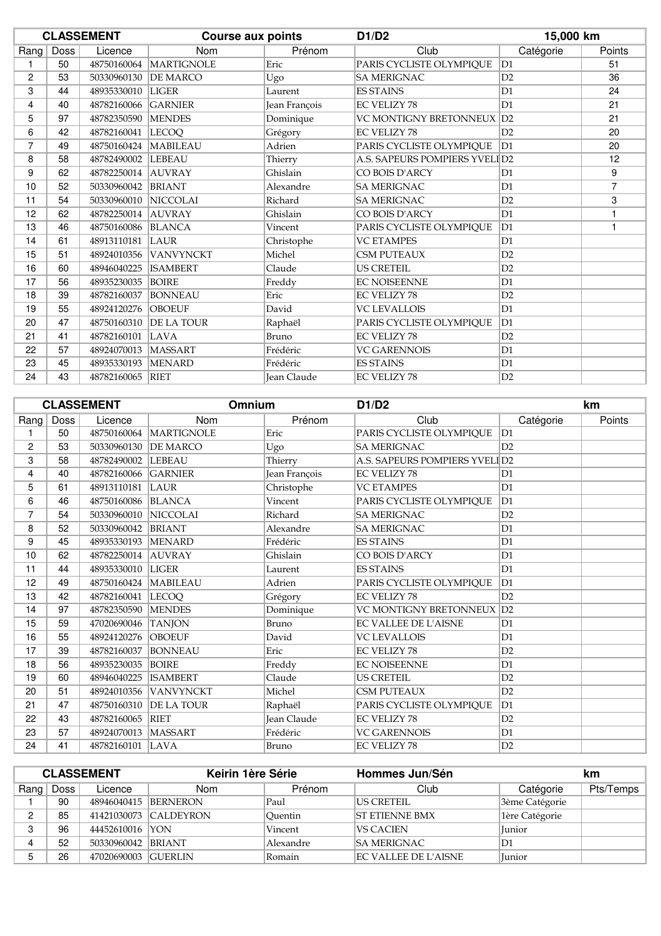|                |      | <b>CLASSEMENT</b>      | <b>Course aux points</b> |                    | D1/D2                         | 15,000 km      |                |
|----------------|------|------------------------|--------------------------|--------------------|-------------------------------|----------------|----------------|
| Rang           | Doss | Licence                | <b>Nom</b>               | Prénom             | Club                          | Catégorie      | Points         |
|                | 50   |                        | 48750160064   MARTIGNOLE | Eric               | PARIS CYCLISTE OLYMPIQUE      | D1             | 51             |
| 2              | 53   | 50330960130            | <b>DE MARCO</b>          | Ugo                | <b>SA MERIGNAC</b>            | D2             | 36             |
| 3              | 44   | 48935330010 LIGER      |                          | Laurent            | <b>ES STAINS</b>              | D <sub>1</sub> | 24             |
| 4              | 40   | 48782160066            | <b>GARNIER</b>           | Jean François      | <b>EC VELIZY 78</b>           | D <sub>1</sub> | 21             |
| 5              | 97   | 48782350590 MENDES     |                          | Dominique          | VC MONTIGNY BRETONNEUX        | D2             | 21             |
| 6              | 42   | 48782160041  LECOQ     |                          | Grégory            | EC VELIZY 78                  | D2             | 20             |
| $\overline{7}$ | 49   | 48750160424   MABILEAU |                          | Adrien             | PARIS CYCLISTE OLYMPIQUE      | D1             | 20             |
| 8              | 58   | 48782490002 LEBEAU     |                          | Thierry            | A.S. SAPEURS POMPIERS YVELID2 |                | 12             |
| 9              | 62   | 48782250014 AUVRAY     |                          | Ghislain           | CO BOIS D'ARCY                | D1             | 9              |
| 10             | 52   | 50330960042 BRIANT     |                          | Alexandre          | <b>SA MERIGNAC</b>            | D <sub>1</sub> | $\overline{7}$ |
| 11             | 54   | 50330960010 NICCOLAI   |                          | Richard            | <b>SA MERIGNAC</b>            | D2             | 3              |
| 12             | 62   | 48782250014 AUVRAY     |                          | Ghislain           | CO BOIS D'ARCY                | D <sub>1</sub> | 1              |
| 13             | 46   | 48750160086 BLANCA     |                          | Vincent            | PARIS CYCLISTE OLYMPIQUE      | D1             | 1              |
| 14             | 61   | 48913110181            | LAUR                     | Christophe         | <b>VC ETAMPES</b>             | D1             |                |
| 15             | 51   |                        | 48924010356 VANVYNCKT    | Michel             | <b>CSM PUTEAUX</b>            | D2             |                |
| 16             | 60   | 48946040225            | <b>ISAMBERT</b>          | Claude             | <b>US CRETEIL</b>             | D2             |                |
| 17             | 56   | 48935230035            | <b>BOIRE</b>             | Freddy             | <b>EC NOISEENNE</b>           | D <sub>1</sub> |                |
| 18             | 39   | 48782160037            | <b>BONNEAU</b>           | Eric               | <b>EC VELIZY 78</b>           | D2             |                |
| 19             | 55   | 48924120276 OBOEUF     |                          | David              | <b>VC LEVALLOIS</b>           | D <sub>1</sub> |                |
| 20             | 47   |                        | 48750160310 DE LA TOUR   | Raphaël            | PARIS CYCLISTE OLYMPIQUE      | D1             |                |
| 21             | 41   | 48782160101            | LAVA                     | Bruno              | <b>EC VELIZY 78</b>           | D2             |                |
| 22             | 57   | 48924070013   MASSART  |                          | Frédéric           | <b>VC GARENNOIS</b>           | D1             |                |
| 23             | 45   | 48935330193            | <b>MENARD</b>            | Frédéric           | <b>ES STAINS</b>              | D1             |                |
| 24             | 43   | 48782160065 RIET       |                          | <b>Jean Claude</b> | <b>EC VELIZY 78</b>           | D2             |                |

|                |             | <b>CLASSEMENT</b>      | <b>Omnium</b>            |               | D1/D2                         |                | km     |
|----------------|-------------|------------------------|--------------------------|---------------|-------------------------------|----------------|--------|
| Rang           | <b>Doss</b> | Licence                | Nom                      | Prénom        | Club                          | Catégorie      | Points |
|                | 50          |                        | 48750160064   MARTIGNOLE | Eric          | PARIS CYCLISTE OLYMPIQUE      | D1             |        |
| 2              | 53          | 50330960130 DE MARCO   |                          | Ugo           | <b>SA MERIGNAC</b>            | D2             |        |
| 3              | 58          | 48782490002  LEBEAU    |                          | Thierry       | A.S. SAPEURS POMPIERS YVELID2 |                |        |
| 4              | 40          | 48782160066 GARNIER    |                          | Jean François | <b>EC VELIZY 78</b>           | D1             |        |
| 5              | 61          | 48913110181 LAUR       |                          | Christophe    | <b>VC ETAMPES</b>             | D <sub>1</sub> |        |
| 6              | 46          | 48750160086 BLANCA     |                          | Vincent       | PARIS CYCLISTE OLYMPIQUE      | D1             |        |
| $\overline{7}$ | 54          | 50330960010 NICCOLAI   |                          | Richard       | <b>SA MERIGNAC</b>            | D2             |        |
| 8              | 52          | 50330960042 BRIANT     |                          | Alexandre     | <b>SA MERIGNAC</b>            | D1             |        |
| 9              | 45          | 48935330193 MENARD     |                          | Frédéric      | <b>ES STAINS</b>              | D1             |        |
| 10             | 62          | 48782250014 AUVRAY     |                          | Ghislain      | CO BOIS D'ARCY                | D1             |        |
| 11             | 44          | 48935330010   LIGER    |                          | Laurent       | <b>ES STAINS</b>              | D <sub>1</sub> |        |
| 12             | 49          | 48750160424   MABILEAU |                          | Adrien        | PARIS CYCLISTE OLYMPIOUE      | D1             |        |
| 13             | 42          | 48782160041 LECOO      |                          | Grégory       | EC VELIZY 78                  | D2             |        |
| 14             | 97          | 48782350590 MENDES     |                          | Dominique     | VC MONTIGNY BRETONNEUX        | D2             |        |
| 15             | 59          | 47020690046 TANJON     |                          | Bruno         | <b>EC VALLEE DE L'AISNE</b>   | D1             |        |
| 16             | 55          | 48924120276 OBOEUF     |                          | David         | <b>VC LEVALLOIS</b>           | D1             |        |
| 17             | 39          | 48782160037 BONNEAU    |                          | Eric          | <b>EC VELIZY 78</b>           | D2             |        |
| 18             | 56          | 48935230035   BOIRE    |                          | Freddy        | <b>EC NOISEENNE</b>           | D <sub>1</sub> |        |
| 19             | 60          | 48946040225  ISAMBERT  |                          | Claude        | <b>US CRETEIL</b>             | D2             |        |
| 20             | 51          |                        | 48924010356 VANVYNCKT    | Michel        | <b>CSM PUTEAUX</b>            | D2             |        |
| 21             | 47          | 48750160310            | <b>DE LA TOUR</b>        | Raphaël       | PARIS CYCLISTE OLYMPIOUE      | D1             |        |
| 22             | 43          | 48782160065 RIET       |                          | Jean Claude   | EC VELIZY 78                  | D <sub>2</sub> |        |
| 23             | 57          | 48924070013   MASSART  |                          | Frédéric      | <b>VC GARENNOIS</b>           | D1             |        |
| 24             | 41          | 48782160101 LAVA       |                          | Bruno         | <b>EC VELIZY 78</b>           | D2             |        |

| <b>CLASSEMENT</b> |      |                      | Keirin 1ère Série     |           | Hommes Jun/Sén              |                | km        |
|-------------------|------|----------------------|-----------------------|-----------|-----------------------------|----------------|-----------|
| Rang $ $          | Doss | Licence              | Nom                   | Prénom    | Club                        | Catégorie      | Pts/Temps |
|                   | 90   | 48946040415 BERNERON |                       | Paul      | IUS CRETEIL.                | 3ème Catégorie |           |
| n                 | 85   |                      | 41421030073 CALDEYRON | Ouentin   | <b>ST ETIENNE BMX</b>       | 1ère Catégorie |           |
|                   | 96   | 44452610016 YON      |                       | Vincent   | <b>VS CACIEN</b>            | <b>Iunior</b>  |           |
|                   | 52   | 50330960042 BRIANT   |                       | Alexandre | <b>SA MERIGNAC</b>          | D1             |           |
|                   | 26   | 47020690003 GUERLIN  |                       | Romain    | <b>EC VALLEE DE L'AISNE</b> | <b>Iunior</b>  |           |